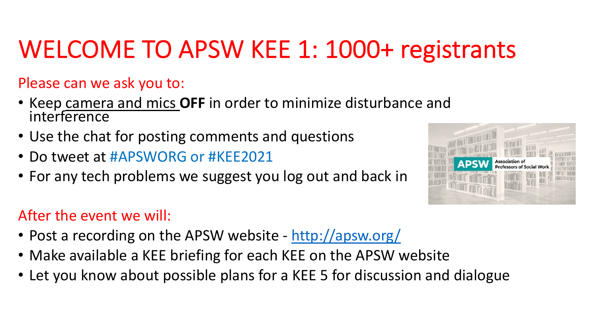## WELCOME TO APSW KEE 1: 1000

Please can we ask you to:

- Keep camera and mics OFF in order to minimize distur interference
- Use the chat for posting comments and questions
- Do tweet at #APSWORG or #KEE2021
- For any tech problems we suggest you log out and bac

#### After the event we will:

- Post a recording on the APSW website http://apsw.org
- Make available a KEE briefing for each KEE on the APS
- Let you know about possible plans for a KEE 5 for disc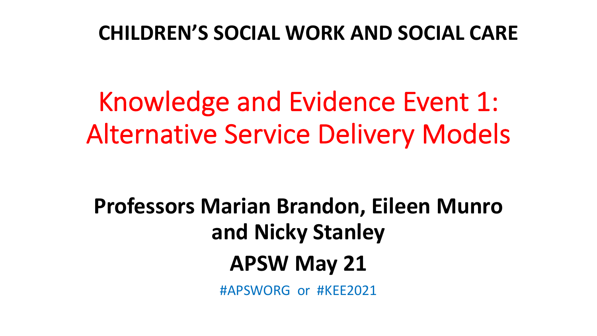### **CHILDREN'S SOCIAL WORK AND SOCIAL CARE**

Knowledge and Evidence Event 1: Alternative Service Delivery Models

**Professors Marian Brandon, Eileen Munro and Nicky Stanley APSW May 21**

#APSWORG or #KEE2021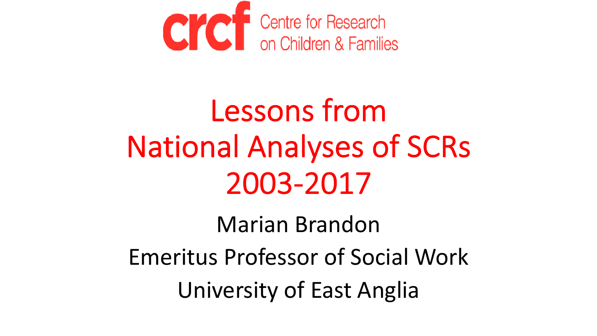

# Lessons from National Analyses of SCRs 2003-2017

Marian Brandon Emeritus Professor of Social Work University of East Anglia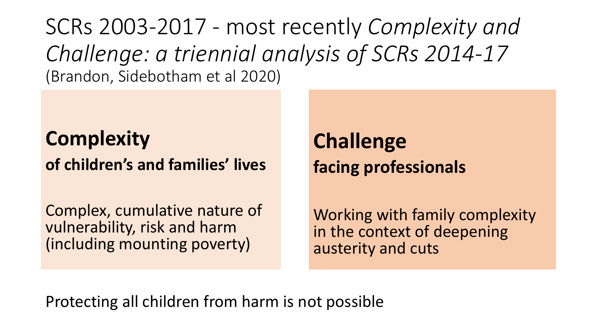SCRs 2003-2017 - most recently *Complexity and Challenge: a triennial analysis of SCRs 2014-17*  (Brandon, Sidebotham et al 2020)

**Complexity of children's and families' lives**

Complex, cumulative nature of vulnerability, risk and harm (including mounting poverty)

**Challenge facing professionals**

Working with family complexity in the context of deepening austerity and cuts

Protecting all children from harm is not possible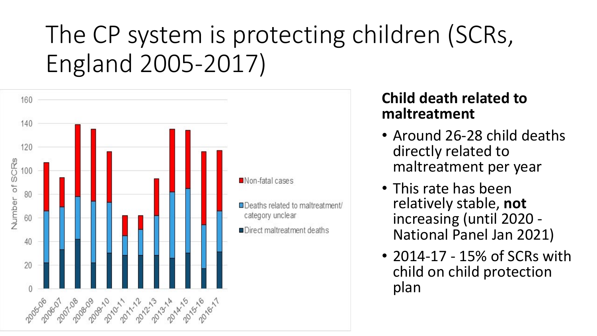## The CP system is protecting children (SCRs, England 2005-2017)



#### **Child death related to maltreatment**

- Around 26-28 child deaths directly related to maltreatment per year
- This rate has been relatively stable, **not** National Panel Jan 2021)
- 2014-17 15% of SCRs with child on child protection plan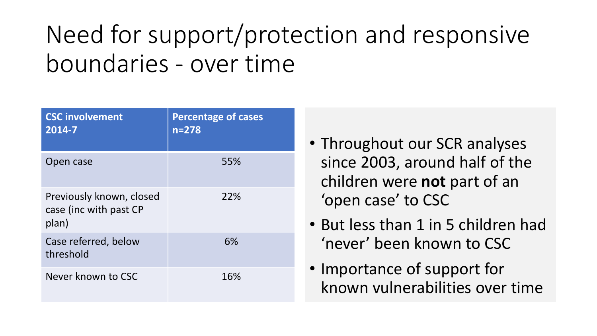## Need for support/protection and responsive boundaries - over time

| <b>CSC involvement</b><br>2014-7                            | <b>Percentage of cases</b><br>$n = 278$ |
|-------------------------------------------------------------|-----------------------------------------|
| Open case                                                   | 55%                                     |
| Previously known, closed<br>case (inc with past CP<br>plan) | 22%                                     |
| Case referred, below<br>threshold                           | 6%                                      |
| Never known to CSC                                          | 16%                                     |

- Throughout our SCR analyses since 2003, around half of the children were **not** part of an 'open case' to CSC
- But less than 1 in 5 children had 'never' been known to CSC
- Importance of support for known vulnerabilities over time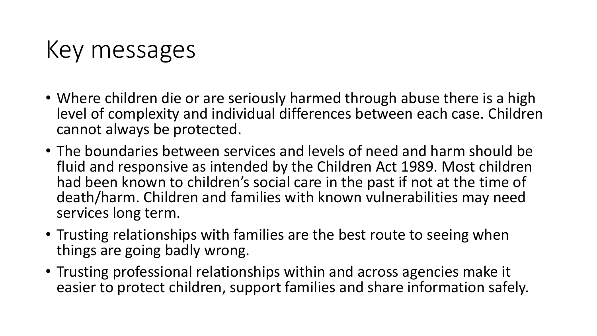### Key messages

- Where children die or are seriously harmed through abuse there is a high level of complexity and individual differences between each case. Children cannot always be protected.
- The boundaries between services and levels of need and harm should be fluid and responsive as intended by the Children Act 1989. Most children had been known to children's social care in the past if not at the time of death/harm. Children and families with known vulnerabilities may need services long term.
- Trusting relationships with families are the best route to seeing when things are going badly wrong.
- Trusting professional relationships within and across agencies make it easier to protect children, support families and share information safely.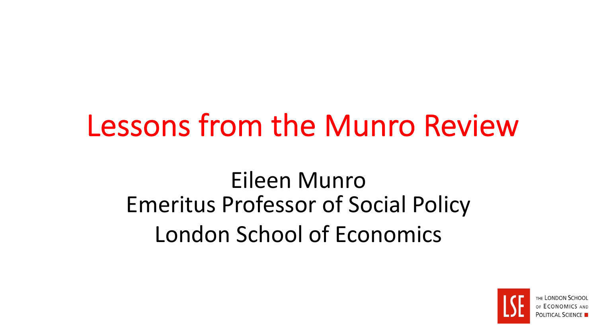## Lessons from the Munro Review

### Eileen Munro Emeritus Professor of Social Policy London School of Economics

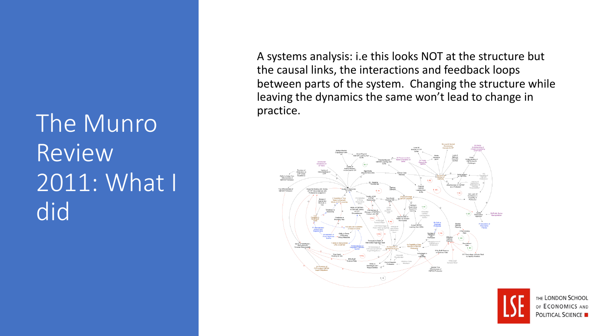## The Munro Review 2011: What I did

A systems analysis: i.e this looks NOT at the structure but the causal links, the interactions and feedback loops between parts of the system. Changing the structure while leaving the dynamics the same won't lead to change in practice.



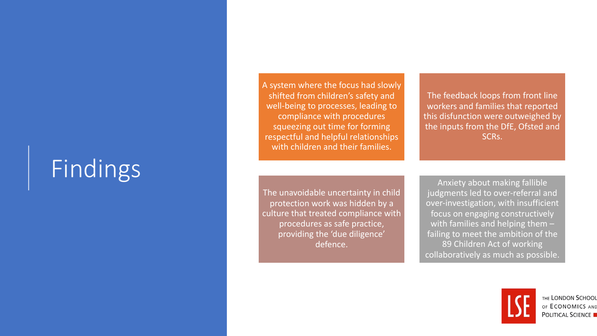### Findings

A system where the focus had slowly shifted from children's safety and well -being to processes, leading to compliance with procedures squeezing out time for forming respectful and helpful relationships with children and their families.

The feedback loops from front line workers and families that reported this disfunction were outweighed by the inputs from the DfE, Ofsted and SCRs.

The unavoidable uncertainty in child protection work was hidden by a culture that treated compliance with procedures as safe practice, providing the 'due diligence' defence.

Anxiety about making fallible judgments led to over-referral and over -investigation, with insufficient focus on engaging constructively with families and helping them – failing to meet the ambition of the 89 Children Act of working collaboratively as much as possible.



THE LONDON SCHOOL OF ECONOMICS AND **POLITICAL SCIENCE**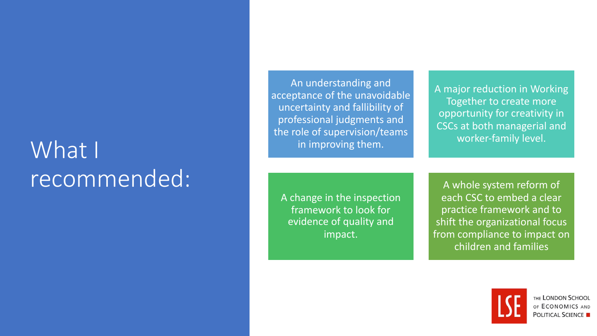### What I recommended:

An understanding and acceptance of the unavoidable uncertainty and fallibility of professional judgments and the role of supervision/teams in improving them.

A major reduction in Working Together to create more opportunity for creativity in CSCs at both managerial and worker-family level.

A change in the inspection framework to look for evidence of quality and impact.

A whole system reform of each CSC to embed a clear practice framework and to shift the organizational focus from compliance to impact on children and families

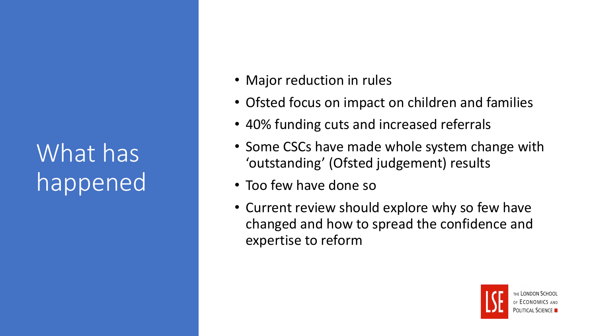What has happened

- Major reduction in rules
- Ofsted focus on impact on children and families
- 40% funding cuts and increased referrals
- Some CSCs have made whole system change with 'outstanding' (Ofsted judgement) results
- Too few have done so
- Current review should explore why so few have changed and how to spread the confidence and expertise to reform

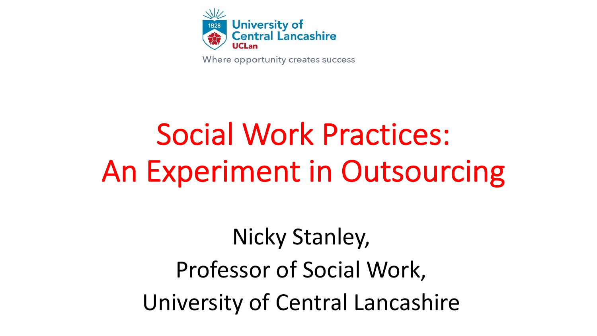

Where opportunity creates success

# Social Work Practices: An Experiment in Outsourcing

Nicky Stanley, Professor of Social Work, University of Central Lancashire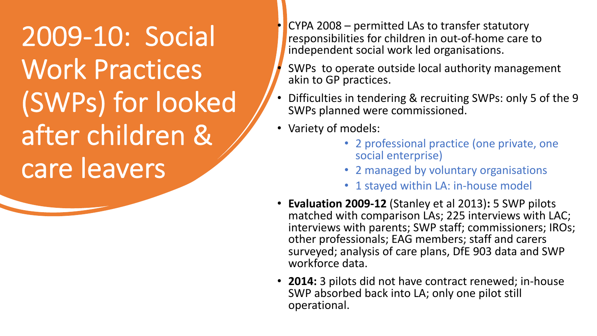2009-10: Social Work Practices (SWPs) for looked after children & care leavers

 $CYPA 2008 -$  permitted LAs to transfer statutory responsibilities for children in out-of-home care to independent social work led organisations.

SWPs to operate outside local authority management akin to GP practices.

- Difficulties in tendering & recruiting SWPs: only 5 of the 9 SWPs planned were commissioned.
- Variety of models:
	- 2 professional practice (one private, one social enterprise)
	- 2 managed by voluntary organisations
	- 1 stayed within LA: in-house model
- **Evaluation 2009-12** (Stanley et al 2013)**:** 5 SWP pilots matched with comparison LAs; 225 interviews with LAC; interviews with parents; SWP staff; commissioners; IROs; other professionals; EAG members; staff and carers surveyed; analysis of care plans, DfE 903 data and SWP workforce data.
- **2014:** 3 pilots did not have contract renewed; in-house SWP absorbed back into LA; only one pilot still operational.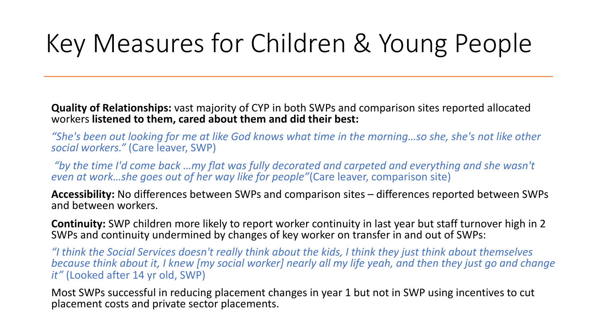## Key Measures for Children & Young People

**Quality of Relationships:** vast majority of CYP in both SWPs and comparison sites reported allocated workers **listened to them, cared about them and did their best:** 

*"She's been out looking for me at like God knows what time in the morning…so she, she's not like other social workers."* (Care leaver, SWP)

*"by the time I'd come back …my flat was fully decorated and carpeted and everything and she wasn't even at work…she goes out of her way like for people"*(Care leaver, comparison site)

**Accessibility:** No differences between SWPs and comparison sites – differences reported between SWPs and between workers.

**Continuity:** SWP children more likely to report worker continuity in last year but staff turnover high in 2 SWPs and continuity undermined by changes of key worker on transfer in and out of SWPs:

*"I think the Social Services doesn't really think about the kids, I think they just think about themselves because think about it, I knew [my social worker] nearly all my life yeah, and then they just go and change it"* (Looked after 14 yr old, SWP)

Most SWPs successful in reducing placement changes in year 1 but not in SWP using incentives to cut placement costs and private sector placements.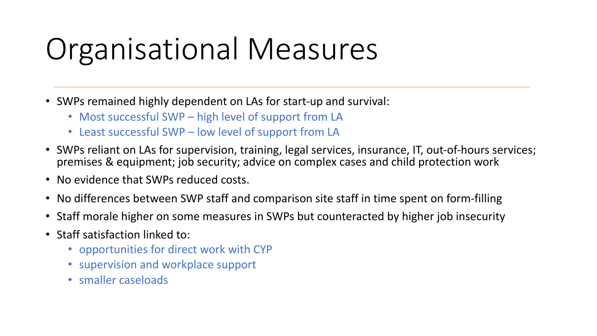## Organisational Measures

- SWPs remained highly dependent on LAs for start-up and survival:
	- Most successful SWP high level of support from LA
	- Least successful SWP low level of support from LA
- SWPs reliant on LAs for supervision, training, legal services, insurance, IT, out-of-hours services; premises & equipment; job security; advice on complex cases and child protection work
- No evidence that SWPs reduced costs.
- No differences between SWP staff and comparison site staff in time spent on form-filling
- Staff morale higher on some measures in SWPs but counteracted by higher job insecurity
- Staff satisfaction linked to:
	- opportunities for direct work with CYP
	- supervision and workplace support
	- smaller caseloads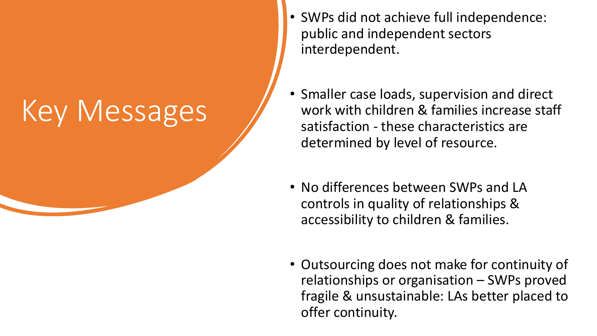# Key Messages

- SWPs did not achieve full independence: public and independent sectors interdependent.
- Smaller case loads, supervision and direct work with children & families increase staff satisfaction - these characteristics are determined by level of resource.
- No differences between SWPs and LA controls in quality of relationships & accessibility to children & families.
- Outsourcing does not make for continuity of relationships or organisation – SWPs proved fragile & unsustainable: LAs better placed to offer continuity.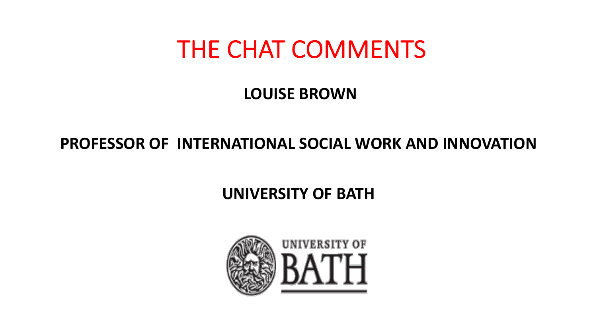### THE CHAT COMMENTS

#### **LOUISE BROWN**

#### **PROFESSOR OF INTERNATIONAL SOCIAL WORK AND INNOVATION**

### **UNIVERSITY OF BATH**

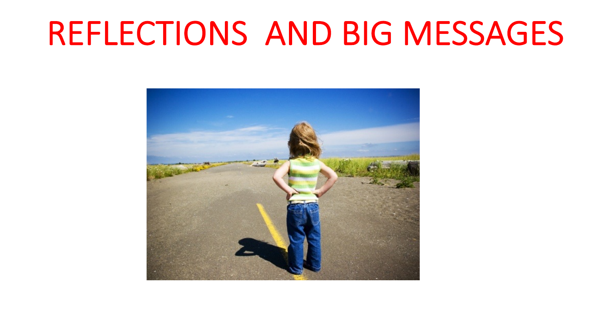## REFLECTIONS AND BIG MESSAGES

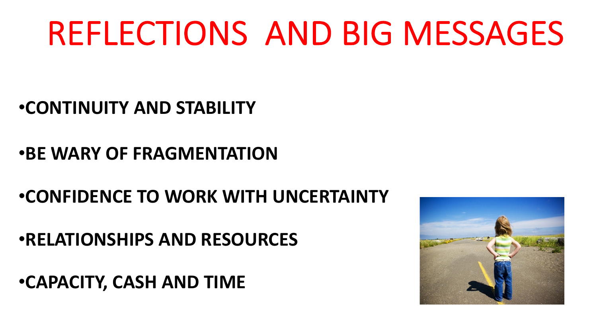# REFLECTIONS AND BIG MESSAGES

•**CONTINUITY AND STABILITY**

•**BE WARY OF FRAGMENTATION**

•**CONFIDENCE TO WORK WITH UNCERTAINTY**

•**RELATIONSHIPS AND RESOURCES**

•**CAPACITY, CASH AND TIME**